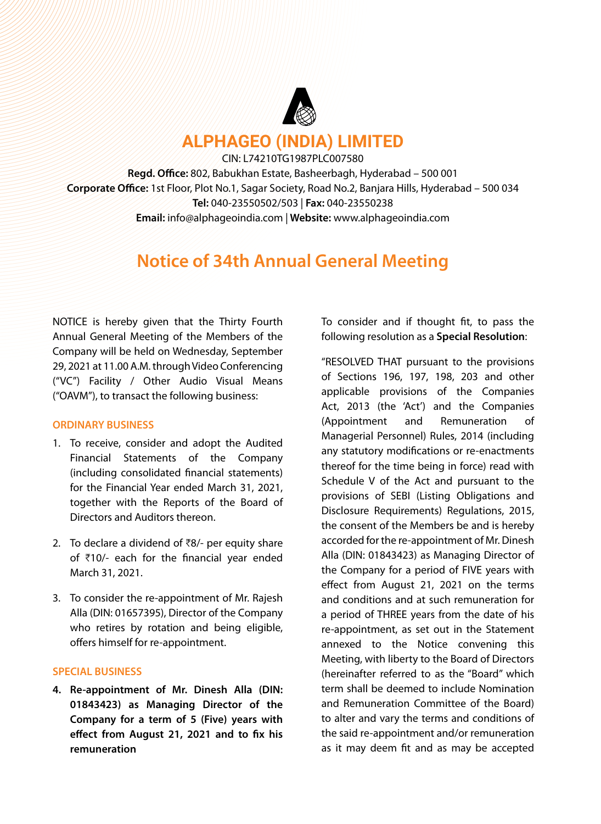

**ALPHAGEO (INDIA) LIMITED**

CIN: L74210TG1987PLC007580 **Regd. Office:** 802, Babukhan Estate, Basheerbagh, Hyderabad – 500 001 **Corporate Office:** 1st Floor, Plot No.1, Sagar Society, Road No.2, Banjara Hills, Hyderabad – 500 034 **Tel:** 040-23550502/503 | **Fax:** 040-23550238 **Email:** info@alphageoindia.com | **Website:** www.alphageoindia.com

# **Notice of 34th Annual General Meeting**

NOTICE is hereby given that the Thirty Fourth Annual General Meeting of the Members of the Company will be held on Wednesday, September 29, 2021 at 11.00 A.M. through Video Conferencing ("VC") Facility / Other Audio Visual Means ("OAVM"), to transact the following business:

### **ORDINARY BUSINESS**

- 1. To receive, consider and adopt the Audited Financial Statements of the Company (including consolidated financial statements) for the Financial Year ended March 31, 2021, together with the Reports of the Board of Directors and Auditors thereon.
- 2. To declare a dividend of  $\bar{z}8/2$  per equity share of  $\bar{z}$ 10/- each for the financial year ended March 31, 2021.
- 3. To consider the re-appointment of Mr. Rajesh Alla (DIN: 01657395), Director of the Company who retires by rotation and being eligible, offers himself for re-appointment.

# **SPECIAL BUSINESS**

**4. Re-appointment of Mr. Dinesh Alla (DIN: 01843423) as Managing Director of the Company for a term of 5 (Five) years with effect from August 21, 2021 and to fix his remuneration**

To consider and if thought fit, to pass the following resolution as a **Special Resolution**:

"RESOLVED THAT pursuant to the provisions of Sections 196, 197, 198, 203 and other applicable provisions of the Companies Act, 2013 (the 'Act') and the Companies (Appointment and Remuneration of Managerial Personnel) Rules, 2014 (including any statutory modifications or re-enactments thereof for the time being in force) read with Schedule V of the Act and pursuant to the provisions of SEBI (Listing Obligations and Disclosure Requirements) Regulations, 2015, the consent of the Members be and is hereby accorded for the re-appointment of Mr. Dinesh Alla (DIN: 01843423) as Managing Director of the Company for a period of FIVE years with effect from August 21, 2021 on the terms and conditions and at such remuneration for a period of THREE years from the date of his re-appointment, as set out in the Statement annexed to the Notice convening this Meeting, with liberty to the Board of Directors (hereinafter referred to as the "Board" which term shall be deemed to include Nomination and Remuneration Committee of the Board) to alter and vary the terms and conditions of the said re-appointment and/or remuneration as it may deem fit and as may be accepted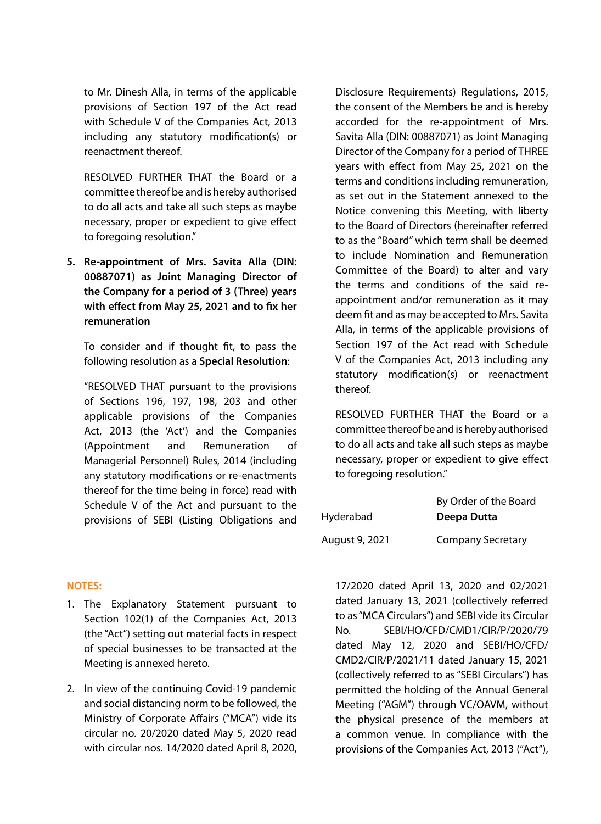to Mr. Dinesh Alla, in terms of the applicable provisions of Section 197 of the Act read with Schedule V of the Companies Act, 2013 including any statutory modification(s) or reenactment thereof.

RESOLVED FURTHER THAT the Board or a committee thereof be and is hereby authorised to do all acts and take all such steps as maybe necessary, proper or expedient to give effect to foregoing resolution."

**5. Re-appointment of Mrs. Savita Alla (DIN: 00887071) as Joint Managing Director of the Company for a period of 3 (Three) years with effect from May 25, 2021 and to fix her remuneration**

To consider and if thought fit, to pass the following resolution as a **Special Resolution**:

"RESOLVED THAT pursuant to the provisions of Sections 196, 197, 198, 203 and other applicable provisions of the Companies Act, 2013 (the 'Act') and the Companies (Appointment and Remuneration of Managerial Personnel) Rules, 2014 (including any statutory modifications or re-enactments thereof for the time being in force) read with Schedule V of the Act and pursuant to the provisions of SEBI (Listing Obligations and

**NOTES:**

- 1. The Explanatory Statement pursuant to Section 102(1) of the Companies Act, 2013 (the "Act") setting out material facts in respect of special businesses to be transacted at the Meeting is annexed hereto.
- 2. In view of the continuing Covid-19 pandemic and social distancing norm to be followed, the Ministry of Corporate Affairs ("MCA") vide its circular no. 20/2020 dated May 5, 2020 read with circular nos. 14/2020 dated April 8, 2020,

Disclosure Requirements) Regulations, 2015, the consent of the Members be and is hereby accorded for the re-appointment of Mrs. Savita Alla (DIN: 00887071) as Joint Managing Director of the Company for a period of THREE years with effect from May 25, 2021 on the terms and conditions including remuneration, as set out in the Statement annexed to the Notice convening this Meeting, with liberty to the Board of Directors (hereinafter referred to as the "Board" which term shall be deemed to include Nomination and Remuneration Committee of the Board) to alter and vary the terms and conditions of the said reappointment and/or remuneration as it may deem fit and as may be accepted to Mrs. Savita Alla, in terms of the applicable provisions of Section 197 of the Act read with Schedule V of the Companies Act, 2013 including any statutory modification(s) or reenactment thereof.

RESOLVED FURTHER THAT the Board or a committee thereof be and is hereby authorised to do all acts and take all such steps as maybe necessary, proper or expedient to give effect to foregoing resolution."

|                | By Order of the Board    |
|----------------|--------------------------|
| Hyderabad      | Deepa Dutta              |
| August 9, 2021 | <b>Company Secretary</b> |

17/2020 dated April 13, 2020 and 02/2021 dated January 13, 2021 (collectively referred to as "MCA Circulars") and SEBI vide its Circular No. SEBI/HO/CFD/CMD1/CIR/P/2020/79 dated May 12, 2020 and SEBI/HO/CFD/ CMD2/CIR/P/2021/11 dated January 15, 2021 (collectively referred to as "SEBI Circulars") has permitted the holding of the Annual General Meeting ("AGM") through VC/OAVM, without the physical presence of the members at a common venue. In compliance with the provisions of the Companies Act, 2013 ("Act"),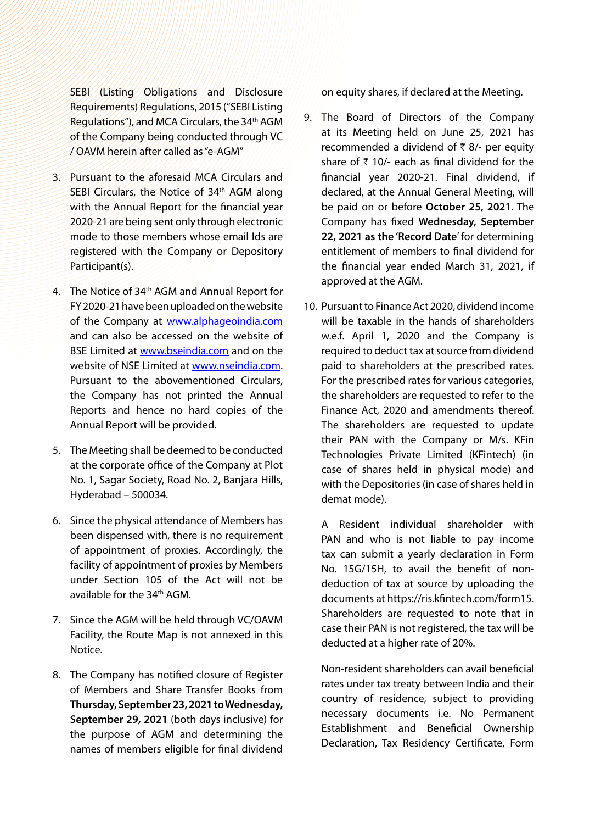SEBI (Listing Obligations and Disclosure Requirements) Regulations, 2015 ("SEBI Listing Regulations"), and MCA Circulars, the 34th AGM of the Company being conducted through VC / OAVM herein after called as "e-AGM"

- 3. Pursuant to the aforesaid MCA Circulars and SEBI Circulars, the Notice of 34<sup>th</sup> AGM along with the Annual Report for the financial year 2020-21 are being sent only through electronic mode to those members whose email Ids are registered with the Company or Depository Participant(s).
- 4. The Notice of 34<sup>th</sup> AGM and Annual Report for FY 2020-21 have been uploaded on the website of the Company at [www.alphageoindia.com](http://www.alphageoindia.com) and can also be accessed on the website of BSE Limited at [www.bseindia.com](http://www.bseindia.com) and on the website of NSE Limited at [www.nseindia.com.](http://www.nseindia.com) Pursuant to the abovementioned Circulars, the Company has not printed the Annual Reports and hence no hard copies of the Annual Report will be provided.
- 5. The Meeting shall be deemed to be conducted at the corporate office of the Company at Plot No. 1, Sagar Society, Road No. 2, Banjara Hills, Hyderabad – 500034.
- 6. Since the physical attendance of Members has been dispensed with, there is no requirement of appointment of proxies. Accordingly, the facility of appointment of proxies by Members under Section 105 of the Act will not be available for the 34th AGM.
- 7. Since the AGM will be held through VC/OAVM Facility, the Route Map is not annexed in this Notice.
- 8. The Company has notified closure of Register of Members and Share Transfer Books from **Thursday, September 23, 2021 to Wednesday, September 29, 2021** (both days inclusive) for the purpose of AGM and determining the names of members eligible for final dividend

on equity shares, if declared at the Meeting.

- 9. The Board of Directors of the Company at its Meeting held on June 25, 2021 has recommended a dividend of  $\bar{\tau}$  8/- per equity share of  $\bar{\tau}$  10/- each as final dividend for the financial year 2020-21. Final dividend, if declared, at the Annual General Meeting, will be paid on or before **October 25, 2021**. The Company has fixed **Wednesday, September 22, 2021 as the 'Record Date**' for determining entitlement of members to final dividend for the financial year ended March 31, 2021, if approved at the AGM.
- 10. Pursuant to Finance Act 2020, dividend income will be taxable in the hands of shareholders w.e.f. April 1, 2020 and the Company is required to deduct tax at source from dividend paid to shareholders at the prescribed rates. For the prescribed rates for various categories, the shareholders are requested to refer to the Finance Act, 2020 and amendments thereof. The shareholders are requested to update their PAN with the Company or M/s. KFin Technologies Private Limited (KFintech) (in case of shares held in physical mode) and with the Depositories (in case of shares held in demat mode).

A Resident individual shareholder with PAN and who is not liable to pay income tax can submit a yearly declaration in Form No. 15G/15H, to avail the benefit of nondeduction of tax at source by uploading the documents at https://ris.kfintech.com/form15. Shareholders are requested to note that in case their PAN is not registered, the tax will be deducted at a higher rate of 20%.

Non-resident shareholders can avail beneficial rates under tax treaty between India and their country of residence, subject to providing necessary documents i.e. No Permanent Establishment and Beneficial Ownership Declaration, Tax Residency Certificate, Form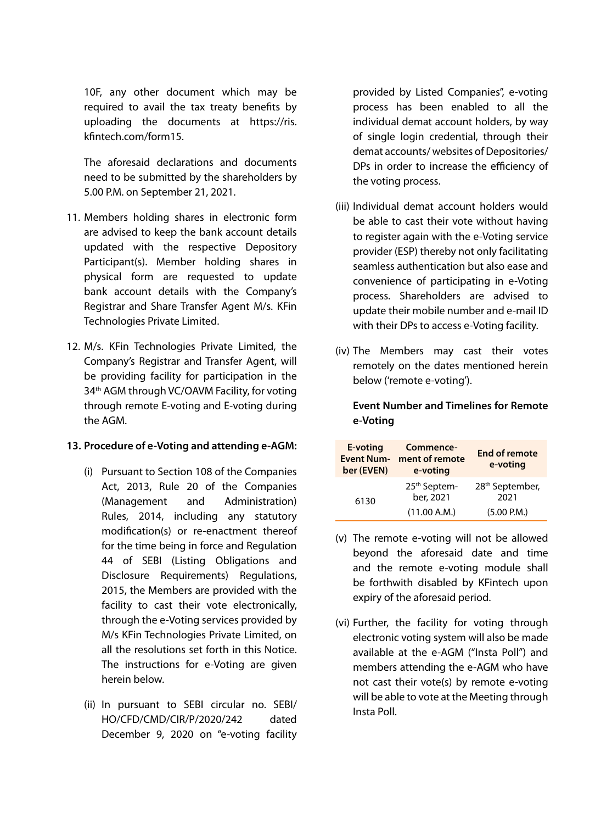10F, any other document which may be required to avail the tax treaty benefits by uploading the documents at https://ris. kfintech.com/form15.

The aforesaid declarations and documents need to be submitted by the shareholders by 5.00 P.M. on September 21, 2021.

- 11. Members holding shares in electronic form are advised to keep the bank account details updated with the respective Depository Participant(s). Member holding shares in physical form are requested to update bank account details with the Company's Registrar and Share Transfer Agent M/s. KFin Technologies Private Limited.
- 12. M/s. KFin Technologies Private Limited, the Company's Registrar and Transfer Agent, will be providing facility for participation in the 34<sup>th</sup> AGM through VC/OAVM Facility, for voting through remote E-voting and E-voting during the AGM.

### **13. Procedure of e-Voting and attending e-AGM:**

- (i) Pursuant to Section 108 of the Companies Act, 2013, Rule 20 of the Companies (Management and Administration) Rules, 2014, including any statutory modification(s) or re-enactment thereof for the time being in force and Regulation 44 of SEBI (Listing Obligations and Disclosure Requirements) Regulations, 2015, the Members are provided with the facility to cast their vote electronically, through the e-Voting services provided by M/s KFin Technologies Private Limited, on all the resolutions set forth in this Notice. The instructions for e-Voting are given herein below.
- (ii) In pursuant to SEBI circular no. SEBI/ HO/CFD/CMD/CIR/P/2020/242 dated December 9, 2020 on "e-voting facility

provided by Listed Companies", e-voting process has been enabled to all the individual demat account holders, by way of single login credential, through their demat accounts/ websites of Depositories/ DPs in order to increase the efficiency of the voting process.

- (iii) Individual demat account holders would be able to cast their vote without having to register again with the e-Voting service provider (ESP) thereby not only facilitating seamless authentication but also ease and convenience of participating in e-Voting process. Shareholders are advised to update their mobile number and e-mail ID with their DPs to access e-Voting facility.
- (iv) The Members may cast their votes remotely on the dates mentioned herein below ('remote e-voting').

# **Event Number and Timelines for Remote e-Voting**

| E-voting<br><b>Event Num-</b><br>ber (EVEN) | Commence-<br>ment of remote<br>e-voting | <b>End of remote</b><br>e-voting    |
|---------------------------------------------|-----------------------------------------|-------------------------------------|
| 6130                                        | 25 <sup>th</sup> Septem-<br>ber, 2021   | 28 <sup>th</sup> September,<br>2021 |
|                                             | (11.00 A.M.)                            | (5.00 P.M.)                         |

- (v) The remote e-voting will not be allowed beyond the aforesaid date and time and the remote e-voting module shall be forthwith disabled by KFintech upon expiry of the aforesaid period.
- (vi) Further, the facility for voting through electronic voting system will also be made available at the e-AGM ("Insta Poll") and members attending the e-AGM who have not cast their vote(s) by remote e-voting will be able to vote at the Meeting through Insta Poll.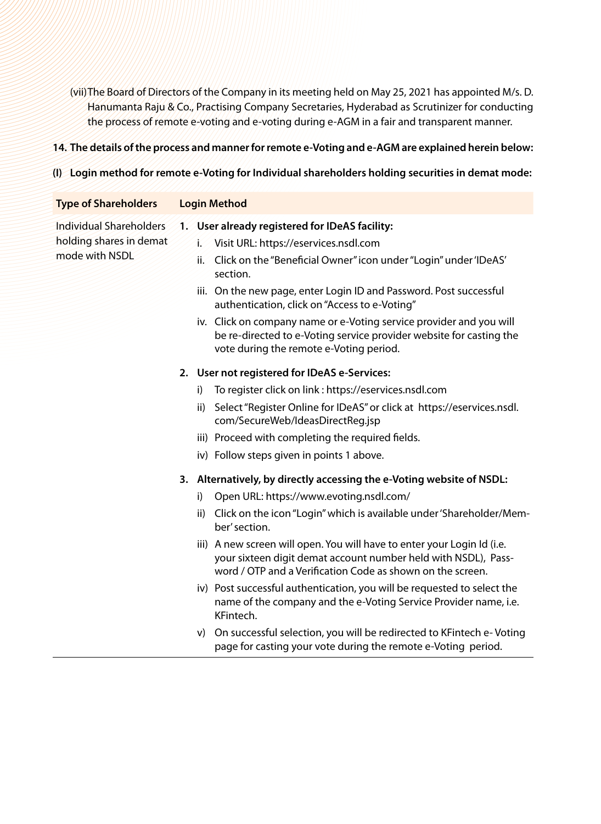(vii)The Board of Directors of the Company in its meeting held on May 25, 2021 has appointed M/s. D. Hanumanta Raju & Co., Practising Company Secretaries, Hyderabad as Scrutinizer for conducting the process of remote e-voting and e-voting during e-AGM in a fair and transparent manner.

#### **14. The details of the process and manner for remote e-Voting and e-AGM are explained herein below:**

#### **(I) Login method for remote e-Voting for Individual shareholders holding securities in demat mode:**

# **Type of Shareholders Login Method**

- Individual Shareholders holding shares in demat mode with NSDL
- **1. User already registered for IDeAS facility:** 
	- i. Visit URL: https://eservices.nsdl.com
	- ii. Click on the "Beneficial Owner" icon under "Login" under 'IDeAS' section.
	- iii. On the new page, enter Login ID and Password. Post successful authentication, click on "Access to e-Voting"
	- iv. Click on company name or e-Voting service provider and you will be re-directed to e-Voting service provider website for casting the vote during the remote e-Voting period.

#### **2. User not registered for IDeAS e-Services:**

- i) To register click on link : https://eservices.nsdl.com
- ii) Select "Register Online for IDeAS" or click at https://eservices.nsdl. com/SecureWeb/IdeasDirectReg.jsp
- iii) Proceed with completing the required fields.
- iv) Follow steps given in points 1 above.
- **3. Alternatively, by directly accessing the e-Voting website of NSDL:** 
	- i) Open URL: https://www.evoting.nsdl.com/
	- ii) Click on the icon "Login" which is available under 'Shareholder/Member' section.
	- iii) A new screen will open. You will have to enter your Login Id (i.e. your sixteen digit demat account number held with NSDL), Password / OTP and a Verification Code as shown on the screen.
	- iv) Post successful authentication, you will be requested to select the name of the company and the e-Voting Service Provider name, i.e. KFintech.
	- v) On successful selection, you will be redirected to KFintech e- Voting page for casting your vote during the remote e-Voting period.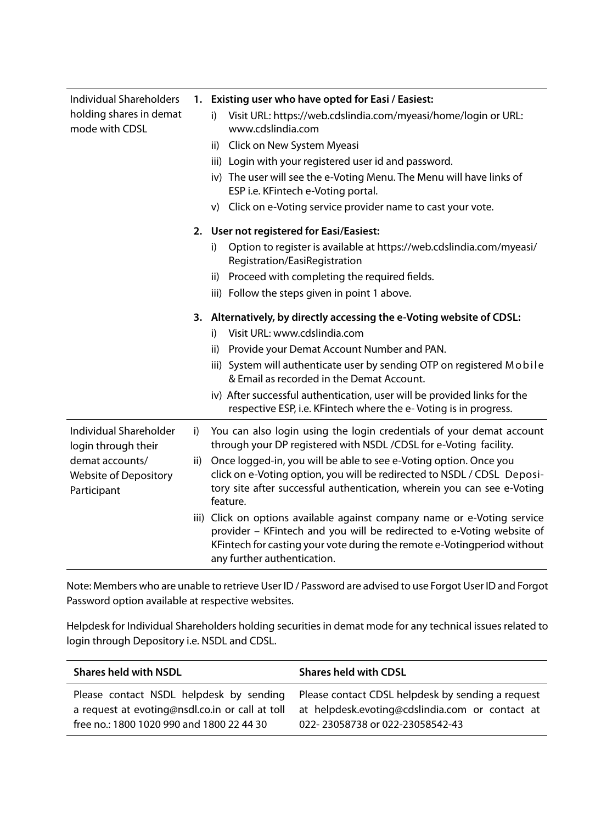| Individual Shareholders                                 |    | 1. Existing user who have opted for Easi / Easiest:                                                                                                                                                                                                         |
|---------------------------------------------------------|----|-------------------------------------------------------------------------------------------------------------------------------------------------------------------------------------------------------------------------------------------------------------|
| holding shares in demat<br>mode with CDSL               |    | Visit URL: https://web.cdslindia.com/myeasi/home/login or URL:<br>i)<br>www.cdslindia.com                                                                                                                                                                   |
|                                                         |    | ii) Click on New System Myeasi                                                                                                                                                                                                                              |
|                                                         |    | iii) Login with your registered user id and password.                                                                                                                                                                                                       |
|                                                         |    | iv) The user will see the e-Voting Menu. The Menu will have links of<br>ESP i.e. KFintech e-Voting portal.                                                                                                                                                  |
|                                                         |    | v) Click on e-Voting service provider name to cast your vote.                                                                                                                                                                                               |
|                                                         |    | 2. User not registered for Easi/Easiest:                                                                                                                                                                                                                    |
|                                                         |    | Option to register is available at https://web.cdslindia.com/myeasi/<br>i)<br>Registration/EasiRegistration                                                                                                                                                 |
|                                                         |    | ii) Proceed with completing the required fields.                                                                                                                                                                                                            |
|                                                         |    | iii) Follow the steps given in point 1 above.                                                                                                                                                                                                               |
|                                                         |    | 3. Alternatively, by directly accessing the e-Voting website of CDSL:                                                                                                                                                                                       |
|                                                         |    | Visit URL: www.cdslindia.com<br>i)                                                                                                                                                                                                                          |
|                                                         |    | Provide your Demat Account Number and PAN.<br>ii)                                                                                                                                                                                                           |
|                                                         |    | iii) System will authenticate user by sending OTP on registered Mobile<br>& Email as recorded in the Demat Account.                                                                                                                                         |
|                                                         |    | iv) After successful authentication, user will be provided links for the<br>respective ESP, i.e. KFintech where the e-Voting is in progress.                                                                                                                |
| Individual Shareholder<br>login through their           | i) | You can also login using the login credentials of your demat account<br>through your DP registered with NSDL / CDSL for e-Voting facility.                                                                                                                  |
| demat accounts/<br>Website of Depository<br>Participant |    | ii) Once logged-in, you will be able to see e-Voting option. Once you<br>click on e-Voting option, you will be redirected to NSDL / CDSL Deposi-<br>tory site after successful authentication, wherein you can see e-Voting<br>feature.                     |
|                                                         |    | iii) Click on options available against company name or e-Voting service<br>provider - KFintech and you will be redirected to e-Voting website of<br>KFintech for casting your vote during the remote e-Votingperiod without<br>any further authentication. |

Note: Members who are unable to retrieve User ID / Password are advised to use Forgot User ID and Forgot Password option available at respective websites.

Helpdesk for Individual Shareholders holding securities in demat mode for any technical issues related to login through Depository i.e. NSDL and CDSL.

| <b>Shares held with NSDL</b>                    | <b>Shares held with CDSL</b>                      |
|-------------------------------------------------|---------------------------------------------------|
| Please contact NSDL helpdesk by sending         | Please contact CDSL helpdesk by sending a request |
| a request at evoting@nsdl.co.in or call at toll | at helpdesk.evoting@cdslindia.com or contact at   |
| free no.: 1800 1020 990 and 1800 22 44 30       | 022-23058738 or 022-23058542-43                   |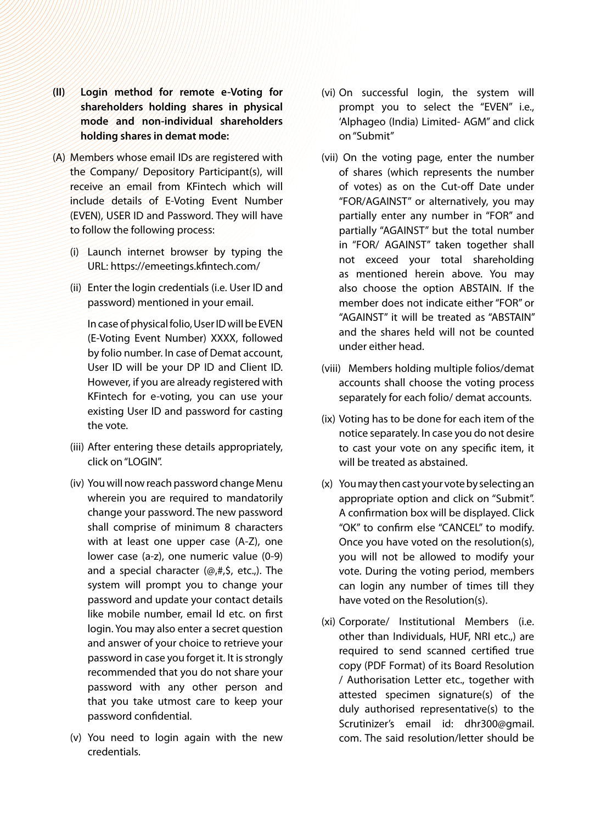- **(II) Login method for remote e-Voting for shareholders holding shares in physical mode and non-individual shareholders holding shares in demat mode:**
- (A) Members whose email IDs are registered with the Company/ Depository Participant(s), will receive an email from KFintech which will include details of E-Voting Event Number (EVEN), USER ID and Password. They will have to follow the following process:
	- (i) Launch internet browser by typing the URL: https://emeetings.kfintech.com/
	- (ii) Enter the login credentials (i.e. User ID and password) mentioned in your email.

In case of physical folio, User ID will be EVEN (E-Voting Event Number) XXXX, followed by folio number. In case of Demat account, User ID will be your DP ID and Client ID. However, if you are already registered with KFintech for e-voting, you can use your existing User ID and password for casting the vote.

- (iii) After entering these details appropriately, click on "LOGIN".
- (iv) You will now reach password change Menu wherein you are required to mandatorily change your password. The new password shall comprise of minimum 8 characters with at least one upper case (A-Z), one lower case (a-z), one numeric value (0-9) and a special character (@,#,\$, etc.,). The system will prompt you to change your password and update your contact details like mobile number, email Id etc. on first login. You may also enter a secret question and answer of your choice to retrieve your password in case you forget it. It is strongly recommended that you do not share your password with any other person and that you take utmost care to keep your password confidential.
- (v) You need to login again with the new credentials.
- (vi) On successful login, the system will prompt you to select the "EVEN" i.e., 'Alphageo (India) Limited- AGM" and click on "Submit"
- (vii) On the voting page, enter the number of shares (which represents the number of votes) as on the Cut-off Date under "FOR/AGAINST" or alternatively, you may partially enter any number in "FOR" and partially "AGAINST" but the total number in "FOR/ AGAINST" taken together shall not exceed your total shareholding as mentioned herein above. You may also choose the option ABSTAIN. If the member does not indicate either "FOR" or "AGAINST" it will be treated as "ABSTAIN" and the shares held will not be counted under either head.
- (viii) Members holding multiple folios/demat accounts shall choose the voting process separately for each folio/ demat accounts.
- (ix) Voting has to be done for each item of the notice separately. In case you do not desire to cast your vote on any specific item, it will be treated as abstained.
- (x) You may then cast your vote by selecting an appropriate option and click on "Submit". A confirmation box will be displayed. Click "OK" to confirm else "CANCEL" to modify. Once you have voted on the resolution(s), you will not be allowed to modify your vote. During the voting period, members can login any number of times till they have voted on the Resolution(s).
- (xi) Corporate/ Institutional Members (i.e. other than Individuals, HUF, NRI etc.,) are required to send scanned certified true copy (PDF Format) of its Board Resolution / Authorisation Letter etc., together with attested specimen signature(s) of the duly authorised representative(s) to the Scrutinizer's email id: dhr300@gmail. com. The said resolution/letter should be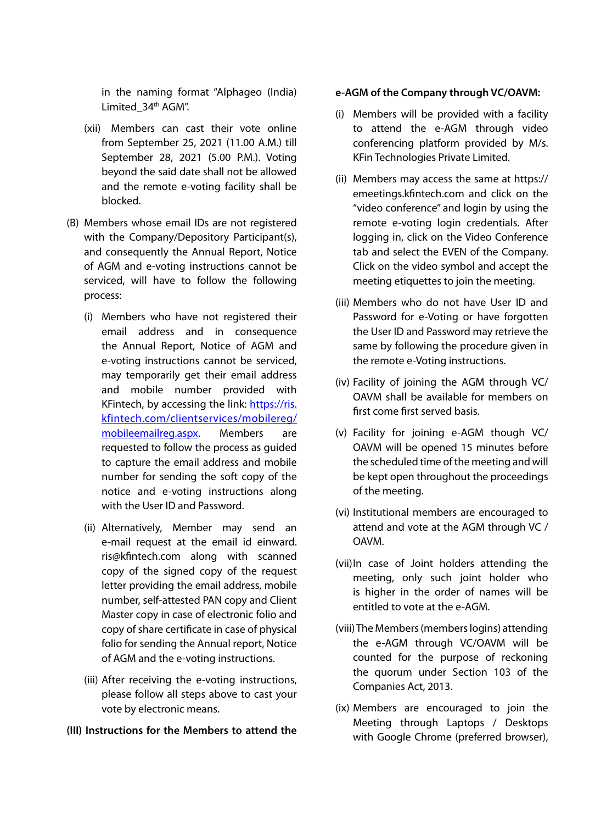in the naming format "Alphageo (India) Limited 34th AGM".

- (xii) Members can cast their vote online from September 25, 2021 (11.00 A.M.) till September 28, 2021 (5.00 P.M.). Voting beyond the said date shall not be allowed and the remote e-voting facility shall be blocked.
- (B) Members whose email IDs are not registered with the Company/Depository Participant(s), and consequently the Annual Report, Notice of AGM and e-voting instructions cannot be serviced, will have to follow the following process:
	- (i) Members who have not registered their email address and in consequence the Annual Report, Notice of AGM and e-voting instructions cannot be serviced, may temporarily get their email address and mobile number provided with KFintech, by accessing the link: [https://ris.](https://ris.kfintech.com/clientservices/mobilereg/mobileemailreg.aspx) [kfintech.com/clientservices/mobilereg/](https://ris.kfintech.com/clientservices/mobilereg/mobileemailreg.aspx) [mobileemailreg.aspx](https://ris.kfintech.com/clientservices/mobilereg/mobileemailreg.aspx). Members are requested to follow the process as guided to capture the email address and mobile number for sending the soft copy of the notice and e-voting instructions along with the User ID and Password.
	- (ii) Alternatively, Member may send an e-mail request at the email id einward. ris@kfintech.com along with scanned copy of the signed copy of the request letter providing the email address, mobile number, self-attested PAN copy and Client Master copy in case of electronic folio and copy of share certificate in case of physical folio for sending the Annual report, Notice of AGM and the e-voting instructions.
	- (iii) After receiving the e-voting instructions, please follow all steps above to cast your vote by electronic means.

### **(III) Instructions for the Members to attend the**

# **e-AGM of the Company through VC/OAVM:**

- (i) Members will be provided with a facility to attend the e-AGM through video conferencing platform provided by M/s. KFin Technologies Private Limited.
- (ii) Members may access the same at https:// emeetings.kfintech.com and click on the "video conference" and login by using the remote e-voting login credentials. After logging in, click on the Video Conference tab and select the EVEN of the Company. Click on the video symbol and accept the meeting etiquettes to join the meeting.
- (iii) Members who do not have User ID and Password for e-Voting or have forgotten the User ID and Password may retrieve the same by following the procedure given in the remote e-Voting instructions.
- (iv) Facility of joining the AGM through VC/ OAVM shall be available for members on first come first served basis.
- (v) Facility for joining e-AGM though VC/ OAVM will be opened 15 minutes before the scheduled time of the meeting and will be kept open throughout the proceedings of the meeting.
- (vi) Institutional members are encouraged to attend and vote at the AGM through VC / OAVM.
- (vii)In case of Joint holders attending the meeting, only such joint holder who is higher in the order of names will be entitled to vote at the e-AGM.
- (viii) The Members (members logins) attending the e-AGM through VC/OAVM will be counted for the purpose of reckoning the quorum under Section 103 of the Companies Act, 2013.
- (ix) Members are encouraged to join the Meeting through Laptops / Desktops with Google Chrome (preferred browser),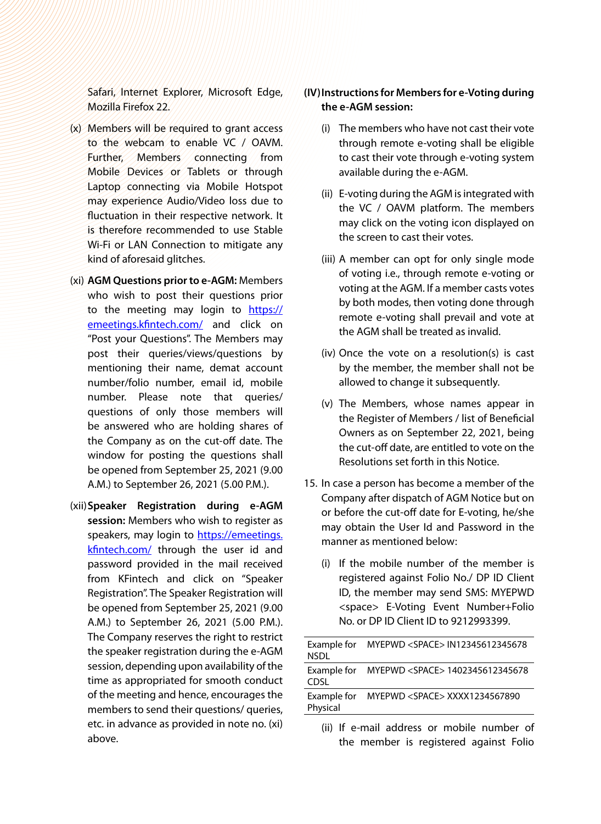Safari, Internet Explorer, Microsoft Edge, Mozilla Firefox 22.

- (x) Members will be required to grant access to the webcam to enable VC / OAVM. Further, Members connecting from Mobile Devices or Tablets or through Laptop connecting via Mobile Hotspot may experience Audio/Video loss due to fluctuation in their respective network. It is therefore recommended to use Stable Wi-Fi or LAN Connection to mitigate any kind of aforesaid glitches.
- (xi) **AGM Questions prior to e-AGM:** Members who wish to post their questions prior to the meeting may login to [https://](https://emeetings.kfintech.com/) [emeetings.kfintech.com/](https://emeetings.kfintech.com/) and click on "Post your Questions". The Members may post their queries/views/questions by mentioning their name, demat account number/folio number, email id, mobile number. Please note that queries/ questions of only those members will be answered who are holding shares of the Company as on the cut-off date. The window for posting the questions shall be opened from September 25, 2021 (9.00 A.M.) to September 26, 2021 (5.00 P.M.).
- (xii)**Speaker Registration during e-AGM session:** Members who wish to register as speakers, may login to [https://emeetings.](https://emeetings.kfintech.com/) [kfintech.com/](https://emeetings.kfintech.com/) through the user id and password provided in the mail received from KFintech and click on "Speaker Registration". The Speaker Registration will be opened from September 25, 2021 (9.00 A.M.) to September 26, 2021 (5.00 P.M.). The Company reserves the right to restrict the speaker registration during the e-AGM session, depending upon availability of the time as appropriated for smooth conduct of the meeting and hence, encourages the members to send their questions/ queries, etc. in advance as provided in note no. (xi) above.

# **(IV)Instructions for Members for e-Voting during the e-AGM session:**

- (i) The members who have not cast their vote through remote e-voting shall be eligible to cast their vote through e-voting system available during the e-AGM.
- (ii) E-voting during the AGM is integrated with the VC / OAVM platform. The members may click on the voting icon displayed on the screen to cast their votes.
- (iii) A member can opt for only single mode of voting i.e., through remote e-voting or voting at the AGM. If a member casts votes by both modes, then voting done through remote e-voting shall prevail and vote at the AGM shall be treated as invalid.
- (iv) Once the vote on a resolution(s) is cast by the member, the member shall not be allowed to change it subsequently.
- (v) The Members, whose names appear in the Register of Members / list of Beneficial Owners as on September 22, 2021, being the cut-off date, are entitled to vote on the Resolutions set forth in this Notice.
- 15. In case a person has become a member of the Company after dispatch of AGM Notice but on or before the cut-off date for E-voting, he/she may obtain the User Id and Password in the manner as mentioned below:
	- (i) If the mobile number of the member is registered against Folio No./ DP ID Client ID, the member may send SMS: MYEPWD <space> E-Voting Event Number+Folio No. or DP ID Client ID to 9212993399.

| Example for<br><b>NSDL</b> | MYEPWD <space> IN12345612345678</space>                |
|----------------------------|--------------------------------------------------------|
| CDSL                       | Example for MYEPWD <space>1402345612345678</space>     |
| Example for<br>Physical    | MYEPWD <space> XXXX1234567890</space>                  |
|                            | 7:00 TC a coast a dalas a composibile conceleration of |

(ii) If e-mail address or mobile number of the member is registered against Folio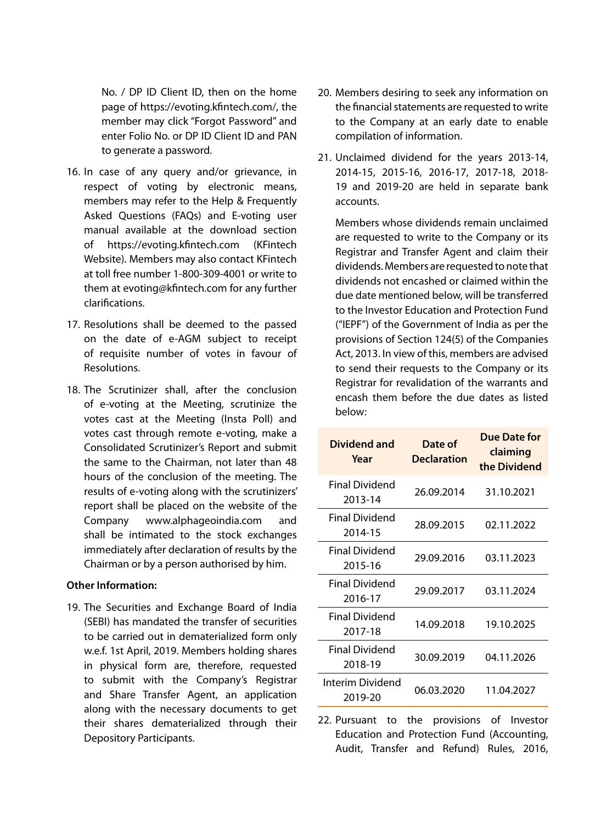No. / DP ID Client ID, then on the home page of https://evoting.kfintech.com/, the member may click "Forgot Password" and enter Folio No. or DP ID Client ID and PAN to generate a password.

- 16. In case of any query and/or grievance, in respect of voting by electronic means, members may refer to the Help & Frequently Asked Questions (FAQs) and E-voting user manual available at the download section of https://evoting.kfintech.com (KFintech Website). Members may also contact KFintech at toll free number 1-800-309-4001 or write to them at evoting@kfintech.com for any further clarifications.
- 17. Resolutions shall be deemed to the passed on the date of e-AGM subject to receipt of requisite number of votes in favour of Resolutions.
- 18. The Scrutinizer shall, after the conclusion of e-voting at the Meeting, scrutinize the votes cast at the Meeting (Insta Poll) and votes cast through remote e-voting, make a Consolidated Scrutinizer's Report and submit the same to the Chairman, not later than 48 hours of the conclusion of the meeting. The results of e-voting along with the scrutinizers' report shall be placed on the website of the Company www.alphageoindia.com and shall be intimated to the stock exchanges immediately after declaration of results by the Chairman or by a person authorised by him.

#### **Other Information:**

19. The Securities and Exchange Board of India (SEBI) has mandated the transfer of securities to be carried out in dematerialized form only w.e.f. 1st April, 2019. Members holding shares in physical form are, therefore, requested to submit with the Company's Registrar and Share Transfer Agent, an application along with the necessary documents to get their shares dematerialized through their Depository Participants.

- 20. Members desiring to seek any information on the financial statements are requested to write to the Company at an early date to enable compilation of information.
- 21. Unclaimed dividend for the years 2013-14, 2014-15, 2015-16, 2016-17, 2017-18, 2018- 19 and 2019-20 are held in separate bank accounts.

Members whose dividends remain unclaimed are requested to write to the Company or its Registrar and Transfer Agent and claim their dividends. Members are requested to note that dividends not encashed or claimed within the due date mentioned below, will be transferred to the Investor Education and Protection Fund ("IEPF") of the Government of India as per the provisions of Section 124(5) of the Companies Act, 2013. In view of this, members are advised to send their requests to the Company or its Registrar for revalidation of the warrants and encash them before the due dates as listed below:

| Dividend and<br>Year        | Date of<br>Declaration | Due Date for<br>claiming<br>the Dividend |
|-----------------------------|------------------------|------------------------------------------|
| Final Dividend<br>2013-14   | 26.09.2014             | 31.10.2021                               |
| Final Dividend<br>2014-15   | 28.09.2015             | 02.11.2022                               |
| Final Dividend<br>2015-16   | 29.09.2016             | 03.11.2023                               |
| Final Dividend<br>2016-17   | 29.09.2017             | 03.11.2024                               |
| Final Dividend<br>2017-18   | 14.09.2018             | 19.10.2025                               |
| Final Dividend<br>2018-19   | 30.09.2019             | 04.11.2026                               |
| Interim Dividend<br>2019-20 | 06.03.2020             | 11.04.2027                               |

22. Pursuant to the provisions of Investor Education and Protection Fund (Accounting, Audit, Transfer and Refund) Rules, 2016,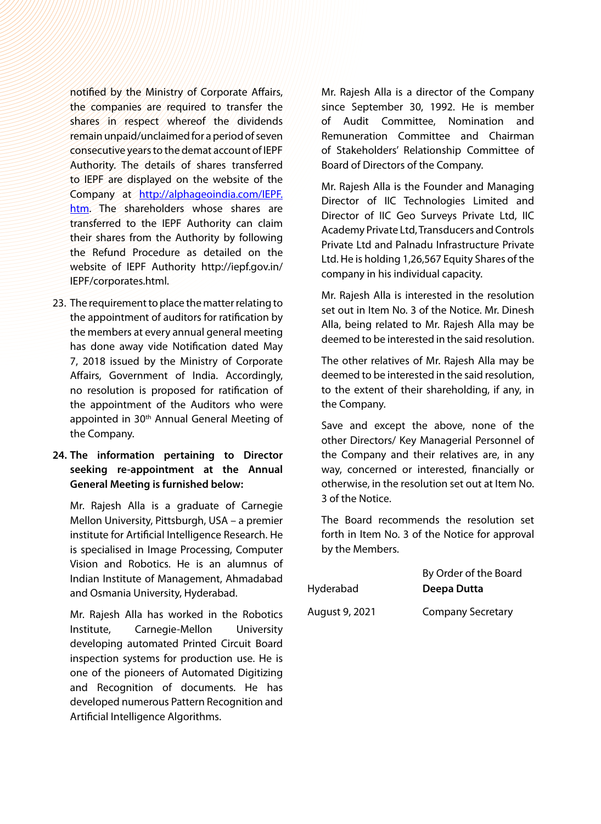notified by the Ministry of Corporate Affairs, the companies are required to transfer the shares in respect whereof the dividends remain unpaid/unclaimed for a period of seven consecutive years to the demat account of IEPF Authority. The details of shares transferred to IEPF are displayed on the website of the Company at [http://alphageoindia.com/IEPF.](http://alphageoindia.com/IEPF.htm) [htm](http://alphageoindia.com/IEPF.htm). The shareholders whose shares are transferred to the IEPF Authority can claim their shares from the Authority by following the Refund Procedure as detailed on the website of IEPF Authority http://iepf.gov.in/ IEPF/corporates.html.

23. The requirement to place the matter relating to the appointment of auditors for ratification by the members at every annual general meeting has done away vide Notification dated May 7, 2018 issued by the Ministry of Corporate Affairs, Government of India. Accordingly, no resolution is proposed for ratification of the appointment of the Auditors who were appointed in 30<sup>th</sup> Annual General Meeting of the Company.

# **24. The information pertaining to Director seeking re-appointment at the Annual General Meeting is furnished below:**

Mr. Rajesh Alla is a graduate of Carnegie Mellon University, Pittsburgh, USA – a premier institute for Artificial Intelligence Research. He is specialised in Image Processing, Computer Vision and Robotics. He is an alumnus of Indian Institute of Management, Ahmadabad and Osmania University, Hyderabad.

Mr. Rajesh Alla has worked in the Robotics Institute, Carnegie-Mellon University developing automated Printed Circuit Board inspection systems for production use. He is one of the pioneers of Automated Digitizing and Recognition of documents. He has developed numerous Pattern Recognition and Artificial Intelligence Algorithms.

Mr. Rajesh Alla is a director of the Company since September 30, 1992. He is member of Audit Committee, Nomination and Remuneration Committee and Chairman of Stakeholders' Relationship Committee of Board of Directors of the Company.

Mr. Rajesh Alla is the Founder and Managing Director of IIC Technologies Limited and Director of IIC Geo Surveys Private Ltd, IIC Academy Private Ltd, Transducers and Controls Private Ltd and Palnadu Infrastructure Private Ltd. He is holding 1,26,567 Equity Shares of the company in his individual capacity.

Mr. Rajesh Alla is interested in the resolution set out in Item No. 3 of the Notice. Mr. Dinesh Alla, being related to Mr. Rajesh Alla may be deemed to be interested in the said resolution.

The other relatives of Mr. Rajesh Alla may be deemed to be interested in the said resolution, to the extent of their shareholding, if any, in the Company.

Save and except the above, none of the other Directors/ Key Managerial Personnel of the Company and their relatives are, in any way, concerned or interested, financially or otherwise, in the resolution set out at Item No. 3 of the Notice.

The Board recommends the resolution set forth in Item No. 3 of the Notice for approval by the Members.

|                | By Order of the Board    |
|----------------|--------------------------|
| Hyderabad      | Deepa Dutta              |
| August 9, 2021 | <b>Company Secretary</b> |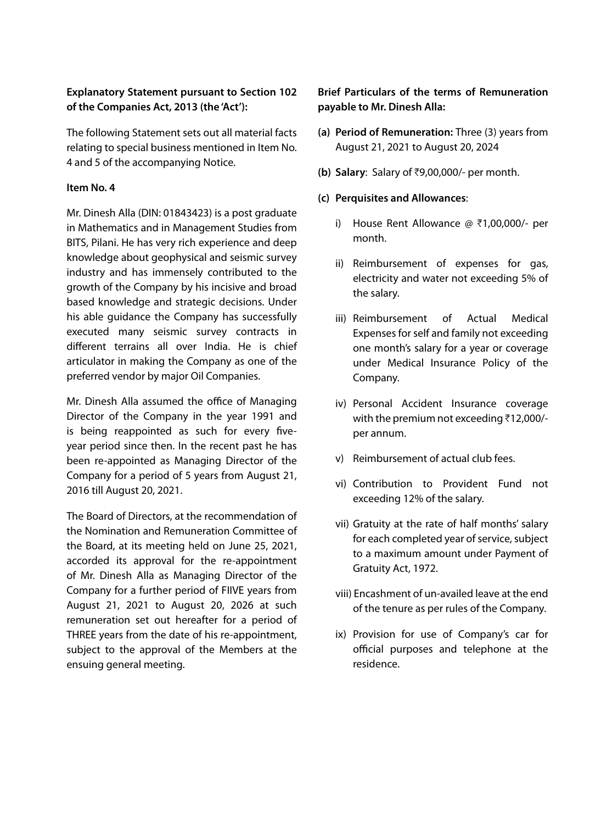# **Explanatory Statement pursuant to Section 102 of the Companies Act, 2013 (the 'Act'):**

The following Statement sets out all material facts relating to special business mentioned in Item No. 4 and 5 of the accompanying Notice.

# **Item No. 4**

Mr. Dinesh Alla (DIN: 01843423) is a post graduate in Mathematics and in Management Studies from BITS, Pilani. He has very rich experience and deep knowledge about geophysical and seismic survey industry and has immensely contributed to the growth of the Company by his incisive and broad based knowledge and strategic decisions. Under his able guidance the Company has successfully executed many seismic survey contracts in different terrains all over India. He is chief articulator in making the Company as one of the preferred vendor by major Oil Companies.

Mr. Dinesh Alla assumed the office of Managing Director of the Company in the year 1991 and is being reappointed as such for every fiveyear period since then. In the recent past he has been re-appointed as Managing Director of the Company for a period of 5 years from August 21, 2016 till August 20, 2021.

The Board of Directors, at the recommendation of the Nomination and Remuneration Committee of the Board, at its meeting held on June 25, 2021, accorded its approval for the re-appointment of Mr. Dinesh Alla as Managing Director of the Company for a further period of FIIVE years from August 21, 2021 to August 20, 2026 at such remuneration set out hereafter for a period of THREE years from the date of his re-appointment, subject to the approval of the Members at the ensuing general meeting.

# **Brief Particulars of the terms of Remuneration payable to Mr. Dinesh Alla:**

- **(a) Period of Remuneration:** Three (3) years from August 21, 2021 to August 20, 2024
- **(b) Salary:** Salary of ₹9,00,000/- per month.

# **(c) Perquisites and Allowances**:

- i) House Rent Allowance  $\varnothing$  \times1,00,000/- per month.
- ii) Reimbursement of expenses for gas, electricity and water not exceeding 5% of the salary.
- iii) Reimbursement of Actual Medical Expenses for self and family not exceeding one month's salary for a year or coverage under Medical Insurance Policy of the Company.
- iv) Personal Accident Insurance coverage with the premium not exceeding  $\bar{\tau}$ 12,000/per annum.
- v) Reimbursement of actual club fees.
- vi) Contribution to Provident Fund not exceeding 12% of the salary.
- vii) Gratuity at the rate of half months' salary for each completed year of service, subject to a maximum amount under Payment of Gratuity Act, 1972.
- viii) Encashment of un-availed leave at the end of the tenure as per rules of the Company.
- ix) Provision for use of Company's car for official purposes and telephone at the residence.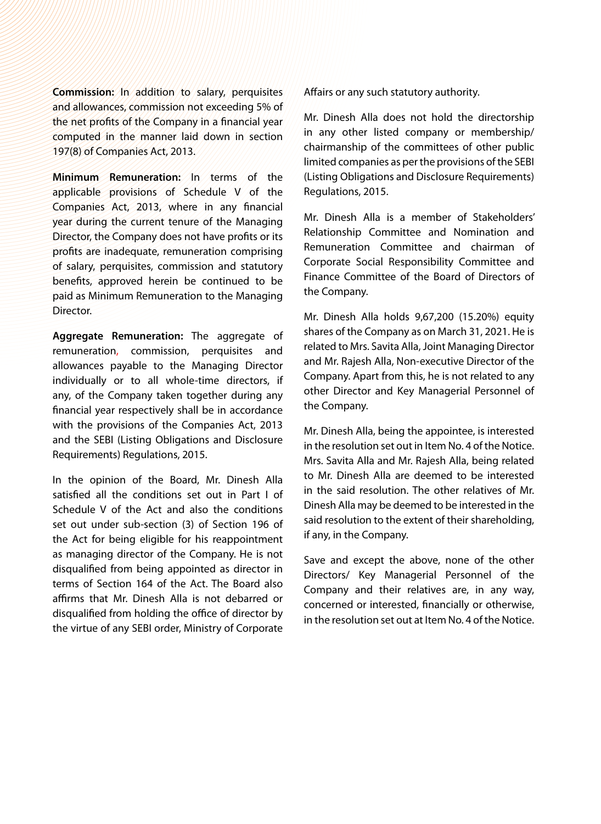**Commission:** In addition to salary, perquisites and allowances, commission not exceeding 5% of the net profits of the Company in a financial year computed in the manner laid down in section 197(8) of Companies Act, 2013.

**Minimum Remuneration:** In terms of the applicable provisions of Schedule V of the Companies Act, 2013, where in any financial year during the current tenure of the Managing Director, the Company does not have profits or its profits are inadequate, remuneration comprising of salary, perquisites, commission and statutory benefits, approved herein be continued to be paid as Minimum Remuneration to the Managing Director.

**Aggregate Remuneration:** The aggregate of remuneration, commission, perquisites and allowances payable to the Managing Director individually or to all whole-time directors, if any, of the Company taken together during any financial year respectively shall be in accordance with the provisions of the Companies Act, 2013 and the SEBI (Listing Obligations and Disclosure Requirements) Regulations, 2015.

In the opinion of the Board, Mr. Dinesh Alla satisfied all the conditions set out in Part I of Schedule V of the Act and also the conditions set out under sub-section (3) of Section 196 of the Act for being eligible for his reappointment as managing director of the Company. He is not disqualified from being appointed as director in terms of Section 164 of the Act. The Board also affirms that Mr. Dinesh Alla is not debarred or disqualified from holding the office of director by the virtue of any SEBI order, Ministry of Corporate Affairs or any such statutory authority.

Mr. Dinesh Alla does not hold the directorship in any other listed company or membership/ chairmanship of the committees of other public limited companies as per the provisions of the SEBI (Listing Obligations and Disclosure Requirements) Regulations, 2015.

Mr. Dinesh Alla is a member of Stakeholders' Relationship Committee and Nomination and Remuneration Committee and chairman of Corporate Social Responsibility Committee and Finance Committee of the Board of Directors of the Company.

Mr. Dinesh Alla holds 9,67,200 (15.20%) equity shares of the Company as on March 31, 2021. He is related to Mrs. Savita Alla, Joint Managing Director and Mr. Rajesh Alla, Non-executive Director of the Company. Apart from this, he is not related to any other Director and Key Managerial Personnel of the Company.

Mr. Dinesh Alla, being the appointee, is interested in the resolution set out in Item No. 4 of the Notice. Mrs. Savita Alla and Mr. Rajesh Alla, being related to Mr. Dinesh Alla are deemed to be interested in the said resolution. The other relatives of Mr. Dinesh Alla may be deemed to be interested in the said resolution to the extent of their shareholding, if any, in the Company.

Save and except the above, none of the other Directors/ Key Managerial Personnel of the Company and their relatives are, in any way, concerned or interested, financially or otherwise, in the resolution set out at Item No. 4 of the Notice.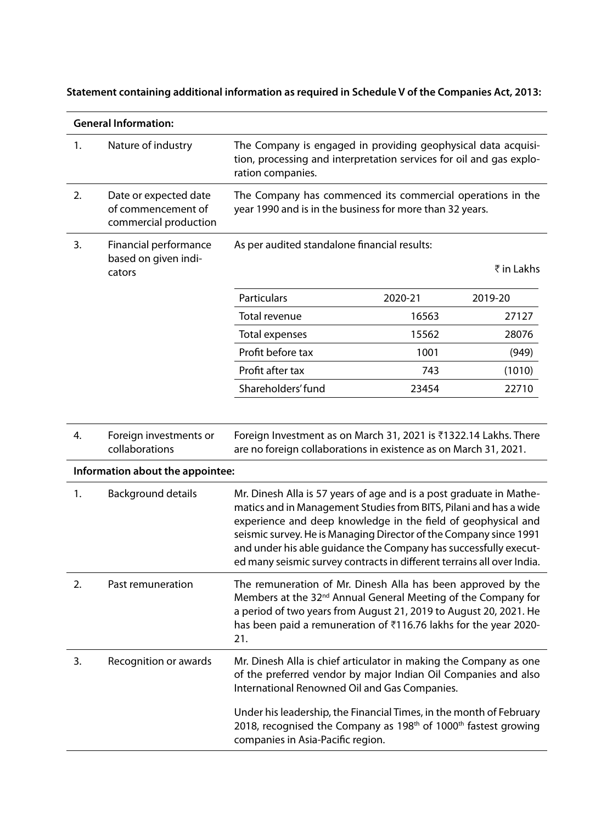# **Statement containing additional information as required in Schedule V of the Companies Act, 2013:**

|    | <b>General Information:</b>                                          |                                                                                                                                                                                                                                                                                                                                                                                                                              |         |            |
|----|----------------------------------------------------------------------|------------------------------------------------------------------------------------------------------------------------------------------------------------------------------------------------------------------------------------------------------------------------------------------------------------------------------------------------------------------------------------------------------------------------------|---------|------------|
| 1. | Nature of industry                                                   | The Company is engaged in providing geophysical data acquisi-<br>tion, processing and interpretation services for oil and gas explo-<br>ration companies.                                                                                                                                                                                                                                                                    |         |            |
| 2. | Date or expected date<br>of commencement of<br>commercial production | The Company has commenced its commercial operations in the<br>year 1990 and is in the business for more than 32 years.                                                                                                                                                                                                                                                                                                       |         |            |
| 3. | Financial performance                                                | As per audited standalone financial results:                                                                                                                                                                                                                                                                                                                                                                                 |         |            |
|    | based on given indi-<br>cators                                       |                                                                                                                                                                                                                                                                                                                                                                                                                              |         | ₹ in Lakhs |
|    |                                                                      | <b>Particulars</b>                                                                                                                                                                                                                                                                                                                                                                                                           | 2020-21 | 2019-20    |
|    |                                                                      | Total revenue                                                                                                                                                                                                                                                                                                                                                                                                                | 16563   | 27127      |
|    |                                                                      | Total expenses                                                                                                                                                                                                                                                                                                                                                                                                               | 15562   | 28076      |
|    |                                                                      | Profit before tax                                                                                                                                                                                                                                                                                                                                                                                                            | 1001    | (949)      |
|    |                                                                      | Profit after tax                                                                                                                                                                                                                                                                                                                                                                                                             | 743     | (1010)     |
|    |                                                                      | Shareholders' fund                                                                                                                                                                                                                                                                                                                                                                                                           | 23454   | 22710      |
|    |                                                                      |                                                                                                                                                                                                                                                                                                                                                                                                                              |         |            |
| 4. | Foreign investments or<br>collaborations                             | Foreign Investment as on March 31, 2021 is ₹1322.14 Lakhs. There<br>are no foreign collaborations in existence as on March 31, 2021.                                                                                                                                                                                                                                                                                         |         |            |
|    | Information about the appointee:                                     |                                                                                                                                                                                                                                                                                                                                                                                                                              |         |            |
| 1. | Background details                                                   | Mr. Dinesh Alla is 57 years of age and is a post graduate in Mathe-<br>matics and in Management Studies from BITS, Pilani and has a wide<br>experience and deep knowledge in the field of geophysical and<br>seismic survey. He is Managing Director of the Company since 1991<br>and under his able guidance the Company has successfully execut-<br>ed many seismic survey contracts in different terrains all over India. |         |            |
| 2. | Past remuneration                                                    | The remuneration of Mr. Dinesh Alla has been approved by the<br>Members at the 32 <sup>nd</sup> Annual General Meeting of the Company for<br>a period of two years from August 21, 2019 to August 20, 2021. He<br>has been paid a remuneration of ₹116.76 lakhs for the year 2020-<br>21.                                                                                                                                    |         |            |
| 3. | Recognition or awards                                                | Mr. Dinesh Alla is chief articulator in making the Company as one<br>of the preferred vendor by major Indian Oil Companies and also<br>International Renowned Oil and Gas Companies.                                                                                                                                                                                                                                         |         |            |
|    |                                                                      | Under his leadership, the Financial Times, in the month of February<br>2018, recognised the Company as 198 <sup>th</sup> of 1000 <sup>th</sup> fastest growing<br>companies in Asia-Pacific region.                                                                                                                                                                                                                          |         |            |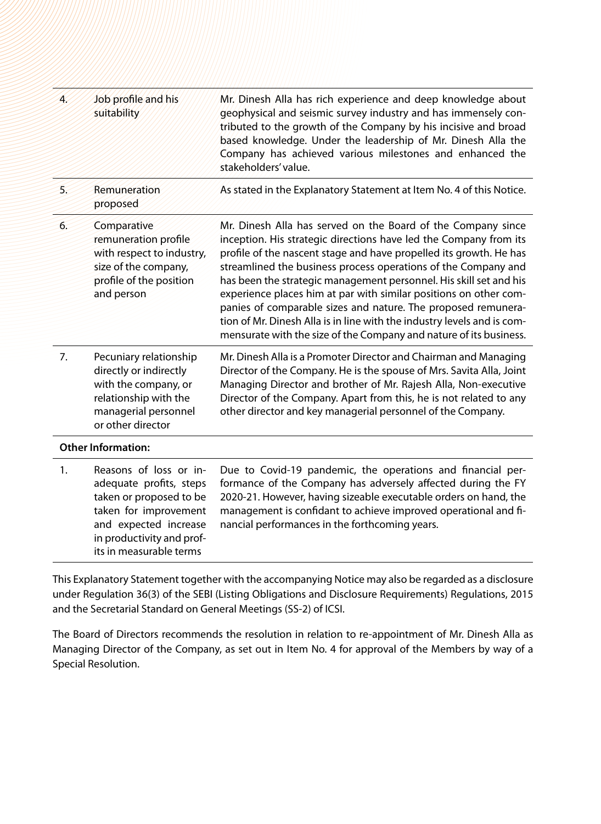| Ī. | Job profile and his<br>suitability                                                                                                                                                     | Mr. Dinesh Alla has rich experience and deep knowledge about<br>geophysical and seismic survey industry and has immensely con-<br>tributed to the growth of the Company by his incisive and broad<br>based knowledge. Under the leadership of Mr. Dinesh Alla the<br>Company has achieved various milestones and enhanced the<br>stakeholders' value.                                                                                                                                                                                                                                                                                  |
|----|----------------------------------------------------------------------------------------------------------------------------------------------------------------------------------------|----------------------------------------------------------------------------------------------------------------------------------------------------------------------------------------------------------------------------------------------------------------------------------------------------------------------------------------------------------------------------------------------------------------------------------------------------------------------------------------------------------------------------------------------------------------------------------------------------------------------------------------|
| 5. | Remuneration<br>proposed                                                                                                                                                               | As stated in the Explanatory Statement at Item No. 4 of this Notice.                                                                                                                                                                                                                                                                                                                                                                                                                                                                                                                                                                   |
| 6. | Comparative<br>remuneration profile<br>with respect to industry,<br>size of the company,<br>profile of the position<br>and person                                                      | Mr. Dinesh Alla has served on the Board of the Company since<br>inception. His strategic directions have led the Company from its<br>profile of the nascent stage and have propelled its growth. He has<br>streamlined the business process operations of the Company and<br>has been the strategic management personnel. His skill set and his<br>experience places him at par with similar positions on other com-<br>panies of comparable sizes and nature. The proposed remunera-<br>tion of Mr. Dinesh Alla is in line with the industry levels and is com-<br>mensurate with the size of the Company and nature of its business. |
| 7. | Pecuniary relationship<br>directly or indirectly<br>with the company, or<br>relationship with the<br>managerial personnel<br>or other director                                         | Mr. Dinesh Alla is a Promoter Director and Chairman and Managing<br>Director of the Company. He is the spouse of Mrs. Savita Alla, Joint<br>Managing Director and brother of Mr. Rajesh Alla, Non-executive<br>Director of the Company. Apart from this, he is not related to any<br>other director and key managerial personnel of the Company.                                                                                                                                                                                                                                                                                       |
|    | <b>Other Information:</b>                                                                                                                                                              |                                                                                                                                                                                                                                                                                                                                                                                                                                                                                                                                                                                                                                        |
| 1. | Reasons of loss or in-<br>adequate profits, steps<br>taken or proposed to be<br>taken for improvement<br>and expected increase<br>in productivity and prof-<br>its in measurable terms | Due to Covid-19 pandemic, the operations and financial per-<br>formance of the Company has adversely affected during the FY<br>2020-21. However, having sizeable executable orders on hand, the<br>management is confidant to achieve improved operational and fi-<br>nancial performances in the forthcoming years.                                                                                                                                                                                                                                                                                                                   |

This Explanatory Statement together with the accompanying Notice may also be regarded as a disclosure under Regulation 36(3) of the SEBI (Listing Obligations and Disclosure Requirements) Regulations, 2015 and the Secretarial Standard on General Meetings (SS-2) of ICSI.

The Board of Directors recommends the resolution in relation to re-appointment of Mr. Dinesh Alla as Managing Director of the Company, as set out in Item No. 4 for approval of the Members by way of a Special Resolution.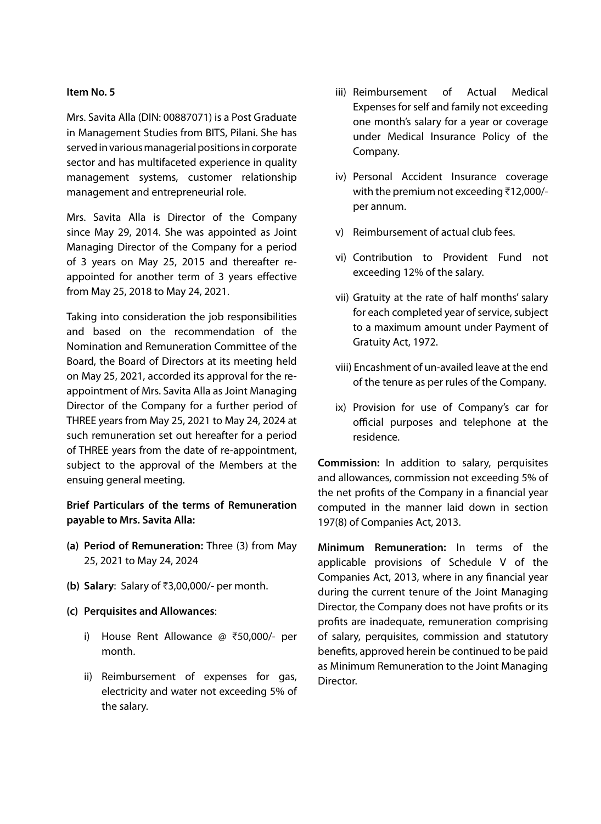## **Item No. 5**

Mrs. Savita Alla (DIN: 00887071) is a Post Graduate in Management Studies from BITS, Pilani. She has served in various managerial positions in corporate sector and has multifaceted experience in quality management systems, customer relationship management and entrepreneurial role.

Mrs. Savita Alla is Director of the Company since May 29, 2014. She was appointed as Joint Managing Director of the Company for a period of 3 years on May 25, 2015 and thereafter reappointed for another term of 3 years effective from May 25, 2018 to May 24, 2021.

Taking into consideration the job responsibilities and based on the recommendation of the Nomination and Remuneration Committee of the Board, the Board of Directors at its meeting held on May 25, 2021, accorded its approval for the reappointment of Mrs. Savita Alla as Joint Managing Director of the Company for a further period of THREE years from May 25, 2021 to May 24, 2024 at such remuneration set out hereafter for a period of THREE years from the date of re-appointment, subject to the approval of the Members at the ensuing general meeting.

# **Brief Particulars of the terms of Remuneration payable to Mrs. Savita Alla:**

- **(a) Period of Remuneration:** Three (3) from May 25, 2021 to May 24, 2024
- **(b)** Salary: Salary of ₹3,00,000/- per month.
- **(c) Perquisites and Allowances**:
	- i) House Rent Allowance  $\varnothing$  ₹50,000/- per month.
	- ii) Reimbursement of expenses for gas, electricity and water not exceeding 5% of the salary.
- iii) Reimbursement of Actual Medical Expenses for self and family not exceeding one month's salary for a year or coverage under Medical Insurance Policy of the Company.
- iv) Personal Accident Insurance coverage with the premium not exceeding  $\bar{\tau}$ 12,000/per annum.
- v) Reimbursement of actual club fees.
- vi) Contribution to Provident Fund not exceeding 12% of the salary.
- vii) Gratuity at the rate of half months' salary for each completed year of service, subject to a maximum amount under Payment of Gratuity Act, 1972.
- viii) Encashment of un-availed leave at the end of the tenure as per rules of the Company.
- ix) Provision for use of Company's car for official purposes and telephone at the residence.

**Commission:** In addition to salary, perquisites and allowances, commission not exceeding 5% of the net profits of the Company in a financial year computed in the manner laid down in section 197(8) of Companies Act, 2013.

**Minimum Remuneration:** In terms of the applicable provisions of Schedule V of the Companies Act, 2013, where in any financial year during the current tenure of the Joint Managing Director, the Company does not have profits or its profits are inadequate, remuneration comprising of salary, perquisites, commission and statutory benefits, approved herein be continued to be paid as Minimum Remuneration to the Joint Managing Director.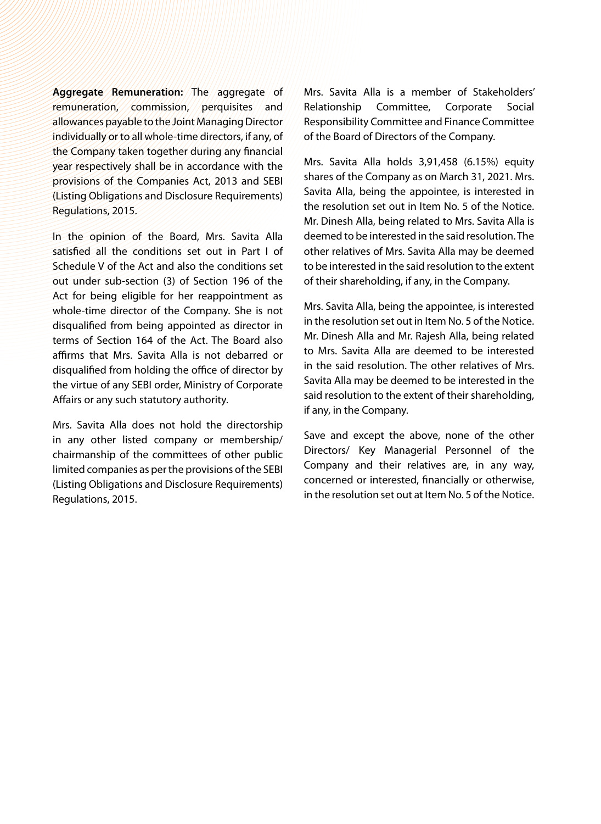**Aggregate Remuneration:** The aggregate of remuneration, commission, perquisites and allowances payable to the Joint Managing Director individually or to all whole-time directors, if any, of the Company taken together during any financial year respectively shall be in accordance with the provisions of the Companies Act, 2013 and SEBI (Listing Obligations and Disclosure Requirements) Regulations, 2015.

In the opinion of the Board, Mrs. Savita Alla satisfied all the conditions set out in Part I of Schedule V of the Act and also the conditions set out under sub-section (3) of Section 196 of the Act for being eligible for her reappointment as whole-time director of the Company. She is not disqualified from being appointed as director in terms of Section 164 of the Act. The Board also affirms that Mrs. Savita Alla is not debarred or disqualified from holding the office of director by the virtue of any SEBI order, Ministry of Corporate Affairs or any such statutory authority.

Mrs. Savita Alla does not hold the directorship in any other listed company or membership/ chairmanship of the committees of other public limited companies as per the provisions of the SEBI (Listing Obligations and Disclosure Requirements) Regulations, 2015.

Mrs. Savita Alla is a member of Stakeholders' Relationship Committee, Corporate Social Responsibility Committee and Finance Committee of the Board of Directors of the Company.

Mrs. Savita Alla holds 3,91,458 (6.15%) equity shares of the Company as on March 31, 2021. Mrs. Savita Alla, being the appointee, is interested in the resolution set out in Item No. 5 of the Notice. Mr. Dinesh Alla, being related to Mrs. Savita Alla is deemed to be interested in the said resolution. The other relatives of Mrs. Savita Alla may be deemed to be interested in the said resolution to the extent of their shareholding, if any, in the Company.

Mrs. Savita Alla, being the appointee, is interested in the resolution set out in Item No. 5 of the Notice. Mr. Dinesh Alla and Mr. Rajesh Alla, being related to Mrs. Savita Alla are deemed to be interested in the said resolution. The other relatives of Mrs. Savita Alla may be deemed to be interested in the said resolution to the extent of their shareholding, if any, in the Company.

Save and except the above, none of the other Directors/ Key Managerial Personnel of the Company and their relatives are, in any way, concerned or interested, financially or otherwise, in the resolution set out at Item No. 5 of the Notice.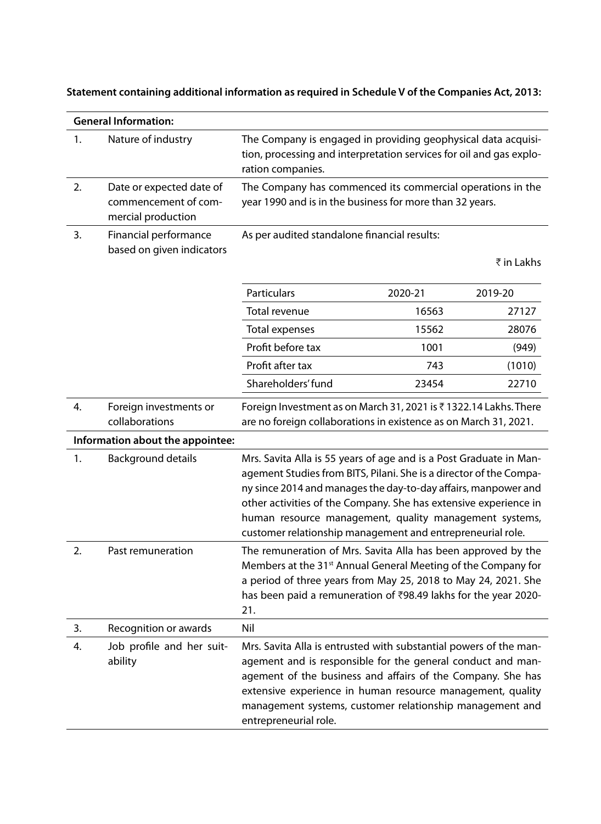|  | :2003 Statement containing additional information as required in Schedule V of the Companies Act, 2013 |
|--|--------------------------------------------------------------------------------------------------------|
|  |                                                                                                        |

|    | <b>General Information:</b>                                            |                                                                                                                                                                                                                                                                                                                                                                                                        |         |            |
|----|------------------------------------------------------------------------|--------------------------------------------------------------------------------------------------------------------------------------------------------------------------------------------------------------------------------------------------------------------------------------------------------------------------------------------------------------------------------------------------------|---------|------------|
| 1. | Nature of industry                                                     | The Company is engaged in providing geophysical data acquisi-<br>tion, processing and interpretation services for oil and gas explo-<br>ration companies.                                                                                                                                                                                                                                              |         |            |
| 2. | Date or expected date of<br>commencement of com-<br>mercial production | The Company has commenced its commercial operations in the<br>year 1990 and is in the business for more than 32 years.                                                                                                                                                                                                                                                                                 |         |            |
| 3. | Financial performance<br>based on given indicators                     | As per audited standalone financial results:                                                                                                                                                                                                                                                                                                                                                           |         | ₹ in Lakhs |
|    |                                                                        | Particulars                                                                                                                                                                                                                                                                                                                                                                                            | 2020-21 | 2019-20    |
|    |                                                                        | Total revenue                                                                                                                                                                                                                                                                                                                                                                                          | 16563   | 27127      |
|    |                                                                        | Total expenses                                                                                                                                                                                                                                                                                                                                                                                         | 15562   | 28076      |
|    |                                                                        | Profit before tax                                                                                                                                                                                                                                                                                                                                                                                      | 1001    | (949)      |
|    |                                                                        | Profit after tax                                                                                                                                                                                                                                                                                                                                                                                       | 743     | (1010)     |
|    |                                                                        | Shareholders' fund                                                                                                                                                                                                                                                                                                                                                                                     | 23454   | 22710      |
| 4. | Foreign investments or<br>collaborations                               | Foreign Investment as on March 31, 2021 is ₹1322.14 Lakhs. There<br>are no foreign collaborations in existence as on March 31, 2021.                                                                                                                                                                                                                                                                   |         |            |
|    | Information about the appointee:                                       |                                                                                                                                                                                                                                                                                                                                                                                                        |         |            |
| 1. | Background details                                                     | Mrs. Savita Alla is 55 years of age and is a Post Graduate in Man-<br>agement Studies from BITS, Pilani. She is a director of the Compa-<br>ny since 2014 and manages the day-to-day affairs, manpower and<br>other activities of the Company. She has extensive experience in<br>human resource management, quality management systems,<br>customer relationship management and entrepreneurial role. |         |            |
| 2. | Past remuneration                                                      | The remuneration of Mrs. Savita Alla has been approved by the<br>Members at the 31 <sup>st</sup> Annual General Meeting of the Company for<br>a period of three years from May 25, 2018 to May 24, 2021. She<br>has been paid a remuneration of ₹98.49 lakhs for the year 2020-<br>21.                                                                                                                 |         |            |
| 3. | Recognition or awards                                                  | Nil                                                                                                                                                                                                                                                                                                                                                                                                    |         |            |
| 4. | Job profile and her suit-<br>ability                                   | Mrs. Savita Alla is entrusted with substantial powers of the man-<br>agement and is responsible for the general conduct and man-<br>agement of the business and affairs of the Company. She has<br>extensive experience in human resource management, quality<br>management systems, customer relationship management and<br>entrepreneurial role.                                                     |         |            |